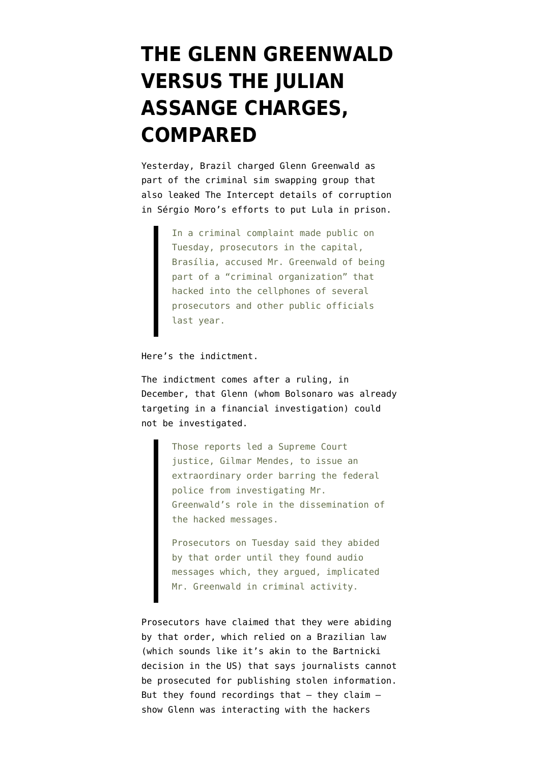# **[THE GLENN GREENWALD](https://www.emptywheel.net/2020/01/22/the-glenn-greenwald-versus-the-julian-assange-charges-compared/) [VERSUS THE JULIAN](https://www.emptywheel.net/2020/01/22/the-glenn-greenwald-versus-the-julian-assange-charges-compared/) [ASSANGE CHARGES,](https://www.emptywheel.net/2020/01/22/the-glenn-greenwald-versus-the-julian-assange-charges-compared/) [COMPARED](https://www.emptywheel.net/2020/01/22/the-glenn-greenwald-versus-the-julian-assange-charges-compared/)**

Yesterday, Brazil [charged](https://www.nytimes.com/2020/01/21/world/americas/glenn-greenwald-brazil-cybercrimes.html) Glenn Greenwald as part of the criminal sim swapping group that also leaked The Intercept details of corruption in Sérgio Moro's efforts to put Lula in prison.

> In a criminal complaint made public on Tuesday, prosecutors in the capital, Brasília, accused Mr. Greenwald of being part of a "criminal organization" that hacked into the cellphones of several prosecutors and other public officials last year.

Here's the [indictment](http://www.mpf.mp.br/df/sala-de-imprensa/docs/denuncia-spoofing).

The indictment comes after a ruling, in December, that Glenn (whom Bolsonaro was already targeting in a financial investigation) could not be investigated.

> Those reports led a Supreme Court justice, Gilmar Mendes, to issue an extraordinary order barring the federal police from investigating Mr. Greenwald's role in the dissemination of the hacked messages.

Prosecutors on Tuesday said they abided by that order until they found audio messages which, they argued, implicated Mr. Greenwald in criminal activity.

Prosecutors have claimed that they were abiding by that order, which relied on a Brazilian law (which sounds like it's akin to the Bartnicki decision in the US) that says journalists cannot be prosecuted for publishing stolen information. But they found recordings that  $-$  they claim  $$ show Glenn was interacting with the hackers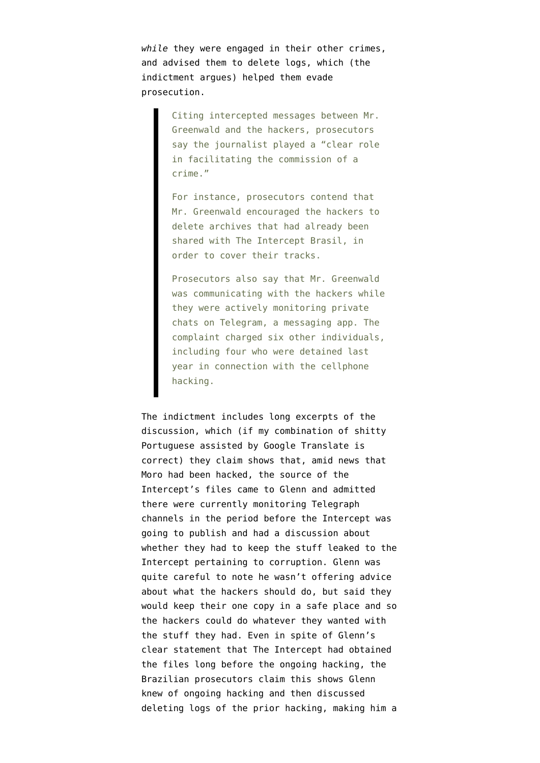*while* they were engaged in their other crimes, and advised them to delete logs, which (the indictment argues) helped them evade prosecution.

> Citing intercepted messages between Mr. Greenwald and the hackers, prosecutors say the journalist played a "clear role in facilitating the commission of a crime."

> For instance, prosecutors contend that Mr. Greenwald encouraged the hackers to delete archives that had already been shared with The Intercept Brasil, in order to cover their tracks.

Prosecutors also say that Mr. Greenwald was communicating with the hackers while they were actively monitoring private chats on Telegram, a messaging app. The complaint charged six other individuals, including four who were detained last year in connection with the cellphone hacking.

The indictment includes long excerpts of the discussion, which (if my combination of shitty Portuguese assisted by Google Translate is correct) they claim shows that, amid news that Moro had been hacked, the source of the Intercept's files came to Glenn and admitted there were currently monitoring Telegraph channels in the period before the Intercept was going to publish and had a discussion about whether they had to keep the stuff leaked to the Intercept pertaining to corruption. Glenn was quite careful to note he wasn't offering advice about what the hackers should do, but said they would keep their one copy in a safe place and so the hackers could do whatever they wanted with the stuff they had. Even in spite of Glenn's clear statement that The Intercept had obtained the files long before the ongoing hacking, the Brazilian prosecutors claim this shows Glenn knew of ongoing hacking and then discussed deleting logs of the prior hacking, making him a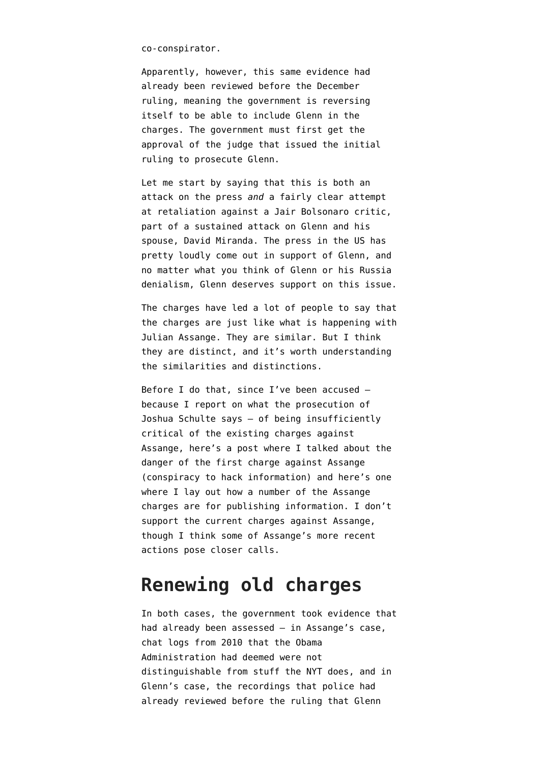co-conspirator.

Apparently, however, this same evidence had already been reviewed before the December ruling, meaning the government is reversing itself to be able to include Glenn in the charges. The government must first get the approval of the judge that issued the initial ruling to prosecute Glenn.

Let me start by saying that this is both an attack on the press *and* a fairly clear attempt at retaliation against a Jair Bolsonaro critic, part of a sustained attack on Glenn and his spouse, David Miranda. The press in the US has pretty loudly come out in support of Glenn, and no matter what you think of Glenn or his Russia denialism, Glenn deserves support on this issue.

The charges have led a lot of people to say that the charges are just like what is happening with Julian Assange. They are similar. But I think they are distinct, and it's worth understanding the similarities and distinctions.

Before I do that, since I've been accused because I report on what the prosecution of Joshua Schulte says — of being insufficiently critical of the existing charges against Assange, here's a post where I talked about [the](https://www.emptywheel.net/2019/04/12/the-dangers-of-the-julian-assange-indictment/) [danger](https://www.emptywheel.net/2019/04/12/the-dangers-of-the-julian-assange-indictment/) of the first charge against Assange (conspiracy to hack information) and here's [one](https://www.emptywheel.net/2019/05/23/the-three-theories-of-prosecution-for-julian-assange/) [where I lay out how a number](https://www.emptywheel.net/2019/05/23/the-three-theories-of-prosecution-for-julian-assange/) of the Assange charges are for publishing information. I don't support the current charges against Assange, though I think some of Assange's [more recent](https://www.emptywheel.net/2017/11/16/the-implicit-threat-in-julian-assanges-ambassador-tweet/) [actions](https://www.emptywheel.net/2017/11/16/the-implicit-threat-in-julian-assanges-ambassador-tweet/) pose closer calls.

#### **Renewing old charges**

In both cases, the government took evidence that had already been assessed — in Assange's case, chat logs from 2010 that the Obama Administration had deemed were not distinguishable from stuff the NYT does, and in Glenn's case, the recordings that police had already reviewed before the ruling that Glenn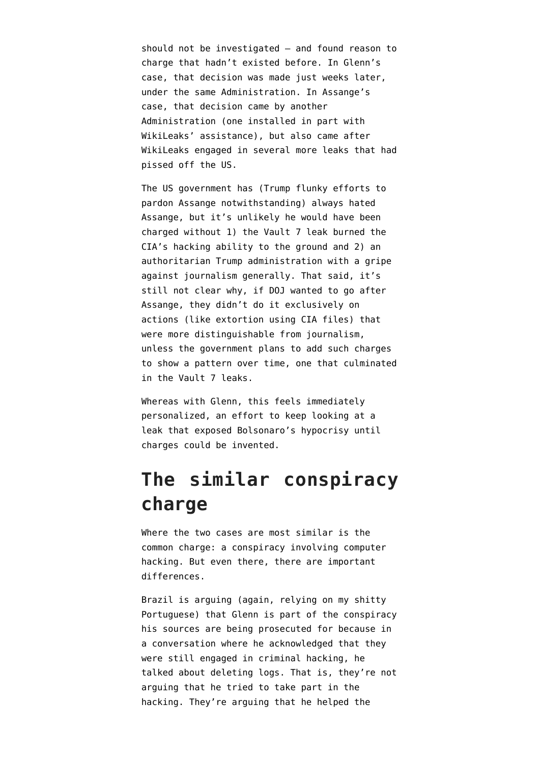should not be investigated — and found reason to charge that hadn't existed before. In Glenn's case, that decision was made just weeks later, under the same Administration. In Assange's case, that decision came by another Administration (one installed in part with WikiLeaks' assistance), but also came after WikiLeaks engaged in several more leaks that had pissed off the US.

The US government has ([Trump flunky efforts to](https://www.emptywheel.net/2019/11/18/the-trump-mueller-answer-the-stone-trial-really-implicates-pardoning-assange/) [pardon Assange notwithstanding\)](https://www.emptywheel.net/2019/11/18/the-trump-mueller-answer-the-stone-trial-really-implicates-pardoning-assange/) always hated Assange, but it's unlikely he would have been charged without 1) the Vault 7 leak burned the CIA's hacking ability to the ground and 2) an authoritarian Trump administration with a gripe against journalism generally. That said, it's still not clear why, if DOJ wanted to go after Assange, they didn't do it exclusively on actions (like extortion using CIA files) that were more distinguishable from journalism, unless the government [plans to add such charges](https://www.emptywheel.net/2019/12/07/the-wikileaks-conspiracy-the-government-prepares-to-argue-wikileaks-has-always-been-an-organized-crime-syndicate/) to show a pattern over time, one that culminated in the Vault 7 leaks.

Whereas with Glenn, this feels immediately personalized, an effort to keep looking at a leak that exposed Bolsonaro's hypocrisy until charges could be invented.

## **The similar conspiracy charge**

Where the two cases are most similar is the common charge: a conspiracy involving computer hacking. But even there, there are important differences.

Brazil is arguing (again, relying on my shitty Portuguese) that Glenn is part of the conspiracy his sources are being prosecuted for because in a conversation where he acknowledged that they were still engaged in criminal hacking, he talked about deleting logs. That is, they're not arguing that he tried to take part in the hacking. They're arguing that he helped the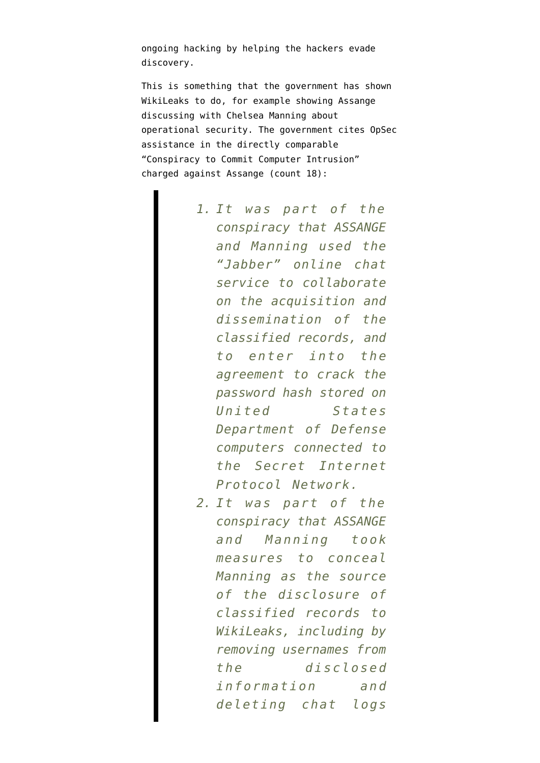ongoing hacking by helping the hackers evade discovery.

This is something that the government has shown WikiLeaks to do, for example showing Assange discussing with Chelsea Manning about operational security. The government cites OpSec assistance in the directly comparable "Conspiracy to Commit Computer Intrusion" charged against Assange ([count 18\)](https://www.documentcloud.org/documents/6024843-Assange-superseding-indictment.html):

- *1. It was part of the conspiracy that ASSANGE and Manning used the "Jabber" online chat service to collaborate on the acquisition and dissemination of the classified records, and to enter into the agreement to crack the password hash stored on United States Department of Defense computers connected to the Secret Internet Protocol Network.*
- *2. It was part of the conspiracy that ASSANGE and Manning took measures to conceal Manning as the source of the disclosure of classified records to WikiLeaks, including by removing usernames from the disclosed information and deleting chat logs*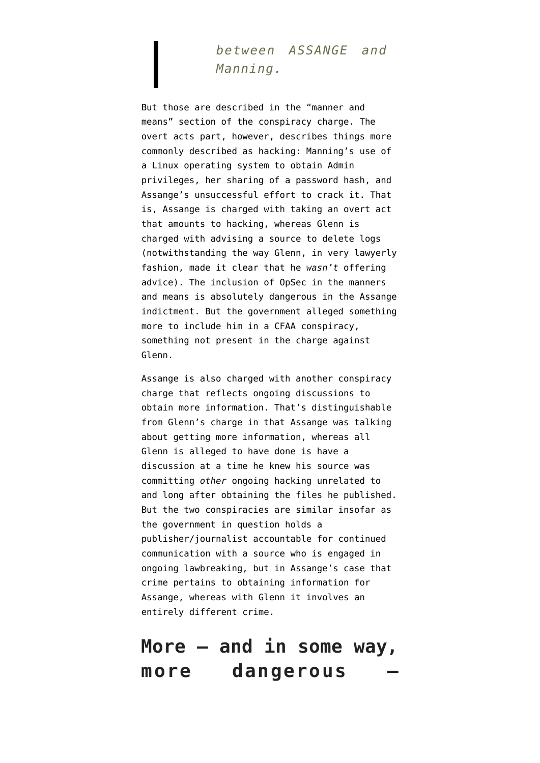#### *between ASSANGE and Manning.*

But those are described in the "manner and means" section of the conspiracy charge. The overt acts part, however, describes things more commonly described as hacking: Manning's use of a Linux operating system to obtain Admin privileges, her sharing of a password hash, and Assange's unsuccessful effort to crack it. That is, Assange is charged with taking an overt act that amounts to hacking, whereas Glenn is charged with advising a source to delete logs (notwithstanding the way Glenn, in very lawyerly fashion, made it clear that he *wasn't* offering advice). The inclusion of OpSec in the manners and means is absolutely dangerous in the Assange indictment. But the government alleged something more to include him in a CFAA conspiracy, something not present in the charge against Glenn.

Assange is also charged with another conspiracy charge that reflects ongoing discussions to obtain more information. That's distinguishable from Glenn's charge in that Assange was talking about getting more information, whereas all Glenn is alleged to have done is have a discussion at a time he knew his source was committing *other* ongoing hacking unrelated to and long after obtaining the files he published. But the two conspiracies are similar insofar as the government in question holds a publisher/journalist accountable for continued communication with a source who is engaged in ongoing lawbreaking, but in Assange's case that crime pertains to obtaining information for Assange, whereas with Glenn it involves an entirely different crime.

## **More — and in some way, more dangerous —**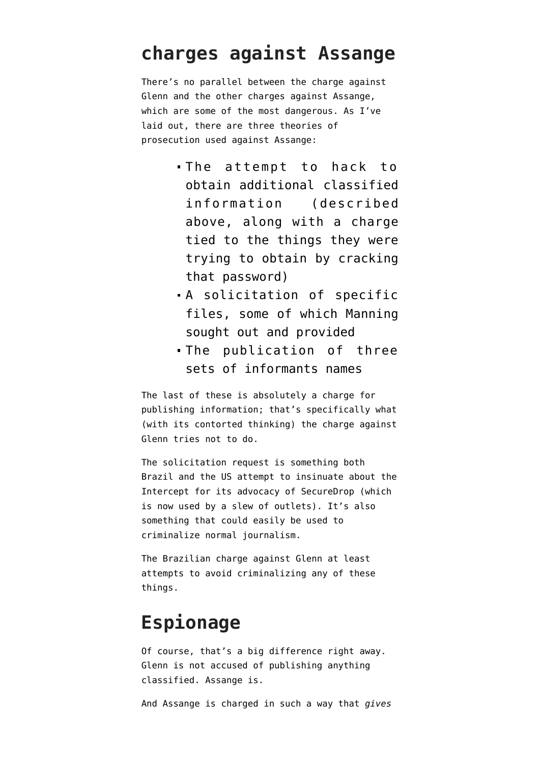#### **charges against Assange**

There's no parallel between the charge against Glenn and the other charges against Assange, which are some of the most dangerous. As I've laid out, there are [three theories of](https://www.emptywheel.net/2019/05/23/the-three-theories-of-prosecution-for-julian-assange/) [prosecution](https://www.emptywheel.net/2019/05/23/the-three-theories-of-prosecution-for-julian-assange/) used against Assange:

- The attempt to hack to obtain additional classified information (described above, along with a charge tied to the things they were trying to obtain by cracking that password)
- A solicitation of specific files, some of which Manning sought out and provided
- The publication of three sets of informants names

The last of these is absolutely a charge for publishing information; that's specifically what (with its contorted thinking) the charge against Glenn tries not to do.

The solicitation request is something both Brazil and the US attempt to insinuate about the Intercept for its advocacy of SecureDrop (which is now used by a slew of outlets). It's also something that [could easily be used](https://www.emptywheel.net/2018/11/16/the-theory-of-prosecution-you-love-for-julian-assange-may-look-different-when-applied-to-jason-leopold/) to criminalize normal journalism.

The Brazilian charge against Glenn at least attempts to avoid criminalizing any of these things.

#### **Espionage**

Of course, that's a big difference right away. Glenn is not accused of publishing anything classified. Assange is.

And Assange is charged in such a way that *gives*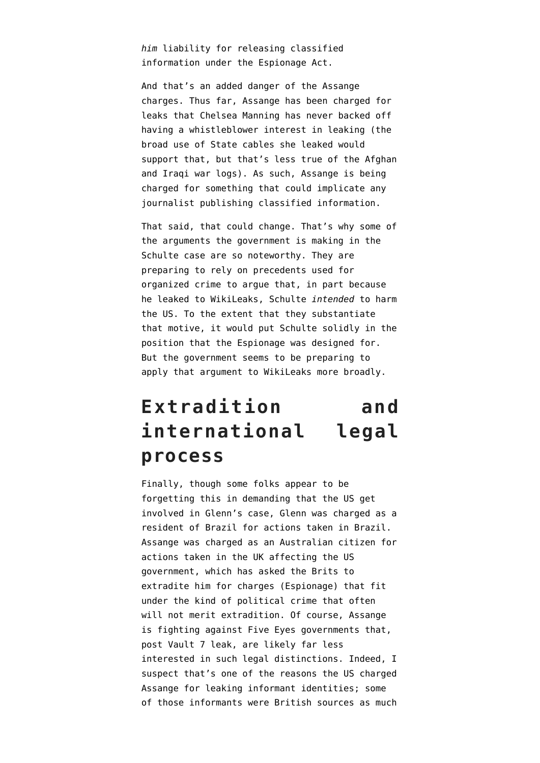*him* liability for releasing classified information under the Espionage Act.

And that's an added danger of the Assange charges. Thus far, Assange has been charged for leaks that Chelsea Manning has never backed off having a whistleblower interest in leaking (the broad use of State cables she leaked would support that, but that's less true of the Afghan and Iraqi war logs). As such, Assange is being charged for something that could implicate any journalist publishing classified information.

That said, that could change. That's why some of the arguments the government is making [in the](https://www.emptywheel.net/2019/12/07/the-wikileaks-conspiracy-the-government-prepares-to-argue-wikileaks-has-always-been-an-organized-crime-syndicate/) [Schulte case](https://www.emptywheel.net/2019/12/07/the-wikileaks-conspiracy-the-government-prepares-to-argue-wikileaks-has-always-been-an-organized-crime-syndicate/) are so noteworthy. They are preparing to rely on precedents used for organized crime to argue that, in part because he leaked to WikiLeaks, Schulte *intended* to harm the US. To the extent that they substantiate that motive, it would put Schulte solidly in the position that the Espionage was designed for. But the government seems to be preparing to apply that argument to WikiLeaks more broadly.

## **Extradition and international legal process**

Finally, though some folks appear to be forgetting this in demanding that the US get involved in Glenn's case, Glenn was charged as a resident of Brazil for actions taken in Brazil. Assange was charged as an Australian citizen for actions taken in the UK affecting the US government, which has asked the Brits to extradite him for charges (Espionage) that fit under the kind of political crime that often will not merit extradition. Of course, Assange is fighting against Five Eyes governments that, post Vault 7 leak, are likely far less interested in such legal distinctions. Indeed, I suspect that's one of the reasons the US charged Assange for leaking informant identities; some of those informants were British sources as much